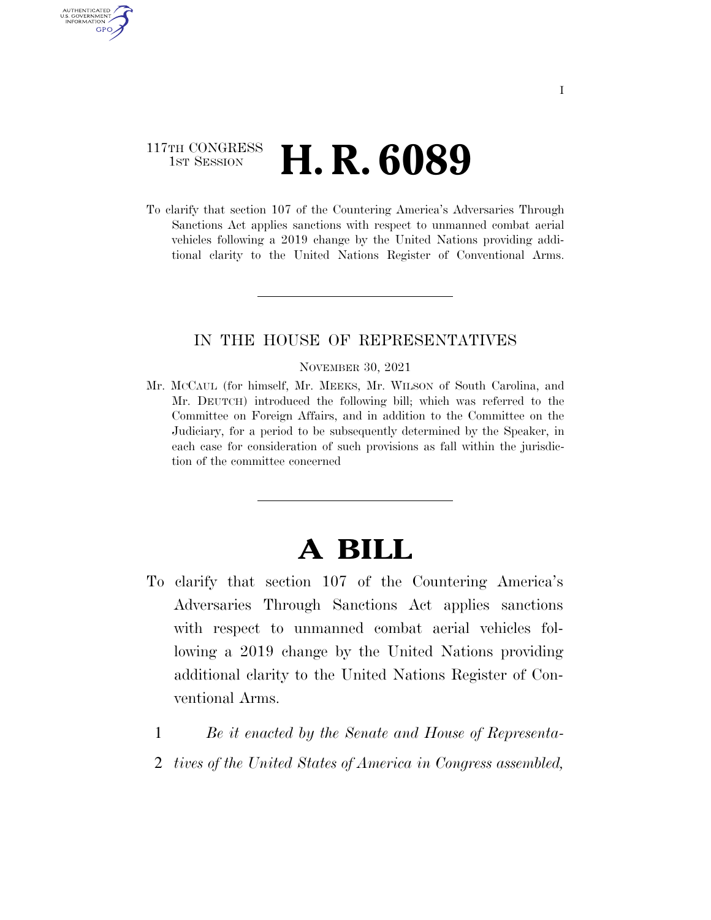## 117TH CONGRESS **1st Session H. R. 6089**

AUTHENTICATED U.S. GOVERNMENT **GPO** 

> To clarify that section 107 of the Countering America's Adversaries Through Sanctions Act applies sanctions with respect to unmanned combat aerial vehicles following a 2019 change by the United Nations providing additional clarity to the United Nations Register of Conventional Arms.

### IN THE HOUSE OF REPRESENTATIVES

#### NOVEMBER 30, 2021

Mr. MCCAUL (for himself, Mr. MEEKS, Mr. WILSON of South Carolina, and Mr. DEUTCH) introduced the following bill; which was referred to the Committee on Foreign Affairs, and in addition to the Committee on the Judiciary, for a period to be subsequently determined by the Speaker, in each case for consideration of such provisions as fall within the jurisdiction of the committee concerned

# **A BILL**

- To clarify that section 107 of the Countering America's Adversaries Through Sanctions Act applies sanctions with respect to unmanned combat aerial vehicles following a 2019 change by the United Nations providing additional clarity to the United Nations Register of Conventional Arms.
	- 1 *Be it enacted by the Senate and House of Representa-*
	- 2 *tives of the United States of America in Congress assembled,*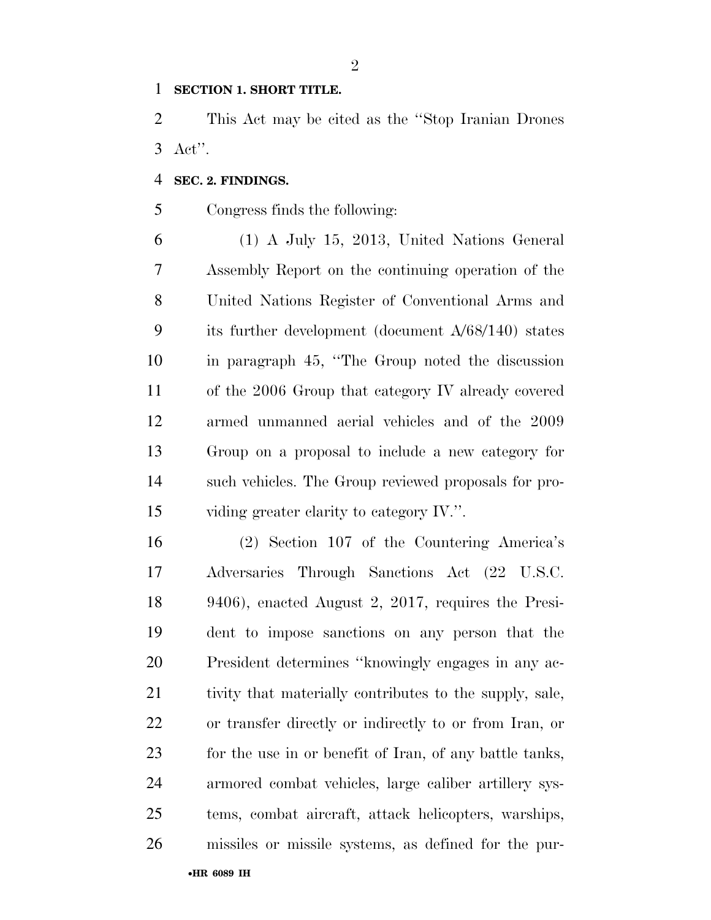### **SECTION 1. SHORT TITLE.**

 This Act may be cited as the ''Stop Iranian Drones Act''.

### **SEC. 2. FINDINGS.**

Congress finds the following:

 (1) A July 15, 2013, United Nations General Assembly Report on the continuing operation of the United Nations Register of Conventional Arms and its further development (document A/68/140) states in paragraph 45, ''The Group noted the discussion of the 2006 Group that category IV already covered armed unmanned aerial vehicles and of the 2009 Group on a proposal to include a new category for such vehicles. The Group reviewed proposals for pro-viding greater clarity to category IV.''.

 (2) Section 107 of the Countering America's Adversaries Through Sanctions Act (22 U.S.C. 9406), enacted August 2, 2017, requires the Presi- dent to impose sanctions on any person that the President determines ''knowingly engages in any ac- tivity that materially contributes to the supply, sale, or transfer directly or indirectly to or from Iran, or for the use in or benefit of Iran, of any battle tanks, armored combat vehicles, large caliber artillery sys- tems, combat aircraft, attack helicopters, warships, missiles or missile systems, as defined for the pur-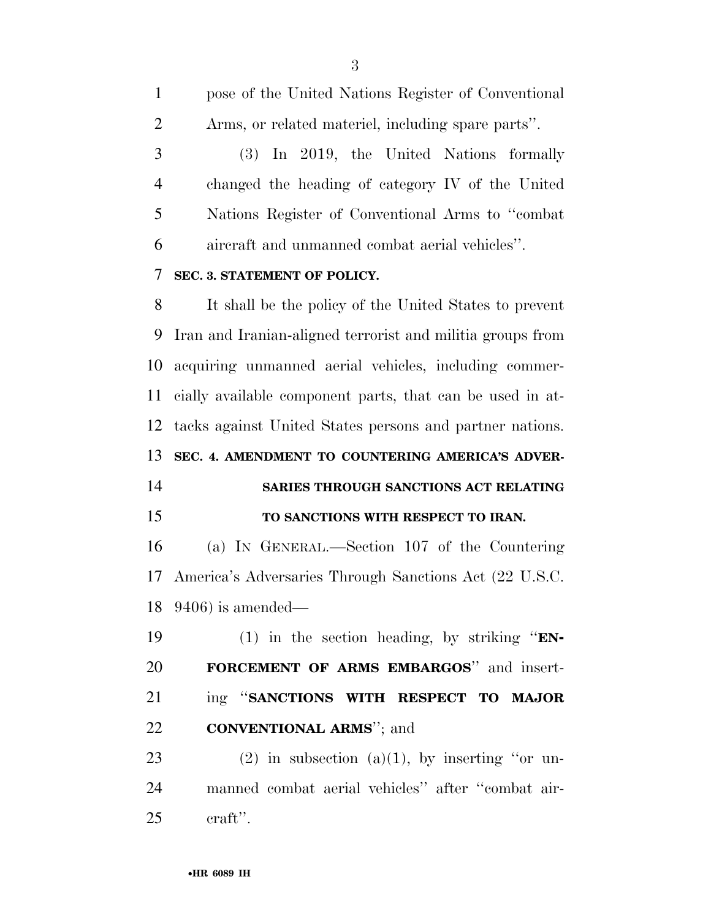| $\mathbf{1}$   | pose of the United Nations Register of Conventional        |
|----------------|------------------------------------------------------------|
| $\overline{2}$ | Arms, or related materiel, including spare parts".         |
| 3              | In 2019, the United Nations formally<br><b>(3)</b>         |
| $\overline{4}$ | changed the heading of category IV of the United           |
| 5              | Nations Register of Conventional Arms to "combat"          |
| 6              | aircraft and unmanned combat aerial vehicles".             |
| 7              | SEC. 3. STATEMENT OF POLICY.                               |
| 8              | It shall be the policy of the United States to prevent     |
| 9              | Iran and Iranian-aligned terrorist and militia groups from |
| 10             | acquiring unmanned aerial vehicles, including commer-      |
| 11             | cially available component parts, that can be used in at-  |
| 12             | tacks against United States persons and partner nations.   |
| 13             | SEC. 4. AMENDMENT TO COUNTERING AMERICA'S ADVER-           |
| 14             | SARIES THROUGH SANCTIONS ACT RELATING                      |
| 15             | TO SANCTIONS WITH RESPECT TO IRAN.                         |
|                |                                                            |
| 16             | (a) IN GENERAL.—Section 107 of the Countering              |
| 17             | America's Adversaries Through Sanctions Act (22 U.S.C.     |
|                | $18 \quad 9406$ ) is amended—                              |
| 19             | (1) in the section heading, by striking " $EN-$            |
| 20             | FORCEMENT OF ARMS EMBARGOS" and insert-                    |
| 21             | ing "SANCTIONS WITH RESPECT TO MAJOR                       |
| 22             | <b>CONVENTIONAL ARMS</b> "; and                            |
| 23             | $(2)$ in subsection $(a)(1)$ , by inserting "or un-        |
| 24             | manned combat aerial vehicles" after "combat air-          |